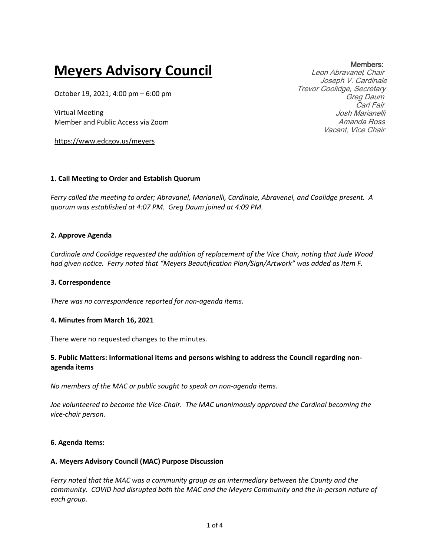# **Meyers Advisory Council**

October 19, 2021; 4:00 pm – 6:00 pm

Virtual Meeting Member and Public Access via Zoom

https://www.edcgov.us/meyers

# **1. Call Meeting to Order and Establish Quorum**

*Ferry called the meeting to order; Abravanel, Marianelli, Cardinale, Abravenel, and Coolidge present. A quorum was established at 4:07 PM. Greg Daum joined at 4:09 PM.*

# **2. Approve Agenda**

*Cardinale and Coolidge requested the addition of replacement of the Vice Chair, noting that Jude Wood had given notice. Ferry noted that "Meyers Beautification Plan/Sign/Artwork" was added as Item F.*

# **3. Correspondence**

*There was no correspondence reported for non-agenda items.*

# **4. Minutes from March 16, 2021**

There were no requested changes to the minutes.

# **5. Public Matters: Informational items and persons wishing to address the Council regarding nonagenda items**

*No members of the MAC or public sought to speak on non-agenda items.*

*Joe volunteered to become the Vice-Chair. The MAC unanimously approved the Cardinal becoming the vice-chair person.*

# **6. Agenda Items:**

# **A. Meyers Advisory Council (MAC) Purpose Discussion**

*Ferry noted that the MAC was a community group as an intermediary between the County and the community. COVID had disrupted both the MAC and the Meyers Community and the in-person nature of each group.* 

Members: Leon Abravanel, Chair Joseph V. Cardinale Trevor Coolidge, Secretary Greg Daum Carl Fair Josh Marianelli Amanda Ross Vacant, Vice Chair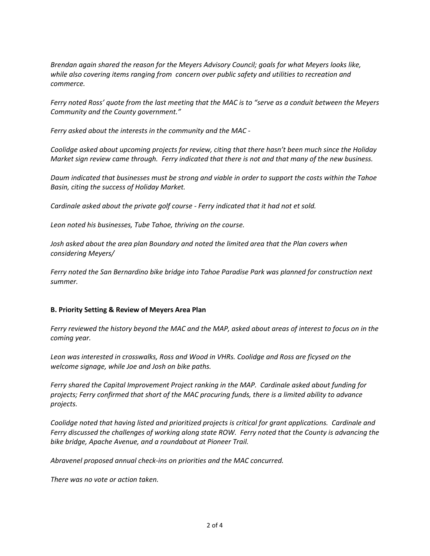*Brendan again shared the reason for the Meyers Advisory Council; goals for what Meyers looks like, while also covering items ranging from concern over public safety and utilities to recreation and commerce.*

*Ferry noted Ross' quote from the last meeting that the MAC is to "serve as a conduit between the Meyers Community and the County government."*

*Ferry asked about the interests in the community and the MAC -*

*Coolidge asked about upcoming projects for review, citing that there hasn't been much since the Holiday Market sign review came through. Ferry indicated that there is not and that many of the new business.*

*Daum indicated that businesses must be strong and viable in order to support the costs within the Tahoe Basin, citing the success of Holiday Market.*

*Cardinale asked about the private golf course - Ferry indicated that it had not et sold.*

*Leon noted his businesses, Tube Tahoe, thriving on the course.*

Josh asked about the area plan Boundary and noted the limited area that the Plan covers when *considering Meyers/*

*Ferry noted the San Bernardino bike bridge into Tahoe Paradise Park was planned for construction next summer.*

# **B. Priority Setting & Review of Meyers Area Plan**

*Ferry reviewed the history beyond the MAC and the MAP, asked about areas of interest to focus on in the coming year.*

*Leon was interested in crosswalks, Ross and Wood in VHRs. Coolidge and Ross are ficysed on the welcome signage, while Joe and Josh on bike paths.* 

*Ferry shared the Capital Improvement Project ranking in the MAP. Cardinale asked about funding for projects; Ferry confirmed that short of the MAC procuring funds, there is a limited ability to advance projects.*

*Coolidge noted that having listed and prioritized projects is critical for grant applications. Cardinale and Ferry discussed the challenges of working along state ROW. Ferry noted that the County is advancing the bike bridge, Apache Avenue, and a roundabout at Pioneer Trail.*

*Abravenel proposed annual check-ins on priorities and the MAC concurred.* 

*There was no vote or action taken.*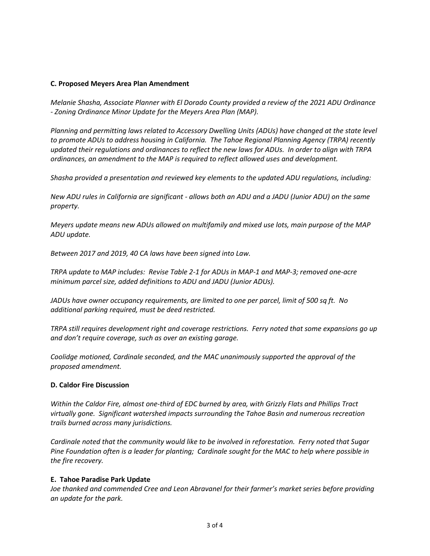#### **C. Proposed Meyers Area Plan Amendment**

*Melanie Shasha, Associate Planner with El Dorado County provided a review of the 2021 ADU Ordinance - Zoning Ordinance Minor Update for the Meyers Area Plan (MAP).*

*Planning and permitting laws related to Accessory Dwelling Units (ADUs) have changed at the state level to promote ADUs to address housing in California. The Tahoe Regional Planning Agency (TRPA) recently updated their regulations and ordinances to reflect the new laws for ADUs. In order to align with TRPA ordinances, an amendment to the MAP is required to reflect allowed uses and development.*

*Shasha provided a presentation and reviewed key elements to the updated ADU regulations, including:*

*New ADU rules in California are significant - allows both an ADU and a JADU (Junior ADU) on the same property.* 

*Meyers update means new ADUs allowed on multifamily and mixed use lots, main purpose of the MAP ADU update.* 

*Between 2017 and 2019, 40 CA laws have been signed into Law.* 

*TRPA update to MAP includes: Revise Table 2-1 for ADUs in MAP-1 and MAP-3; removed one-acre minimum parcel size, added definitions to ADU and JADU (Junior ADUs).* 

*JADUs have owner occupancy requirements, are limited to one per parcel, limit of 500 sq ft. No additional parking required, must be deed restricted.*

*TRPA still requires development right and coverage restrictions. Ferry noted that some expansions go up and don't require coverage, such as over an existing garage.*

*Coolidge motioned, Cardinale seconded, and the MAC unanimously supported the approval of the proposed amendment.*

#### **D. Caldor Fire Discussion**

*Within the Caldor Fire, almost one-third of EDC burned by area, with Grizzly Flats and Phillips Tract virtually gone. Significant watershed impacts surrounding the Tahoe Basin and numerous recreation trails burned across many jurisdictions.*

*Cardinale noted that the community would like to be involved in reforestation. Ferry noted that Sugar Pine Foundation often is a leader for planting; Cardinale sought for the MAC to help where possible in the fire recovery.*

# **E. Tahoe Paradise Park Update**

*Joe thanked and commended Cree and Leon Abravanel for their farmer's market series before providing an update for the park.*